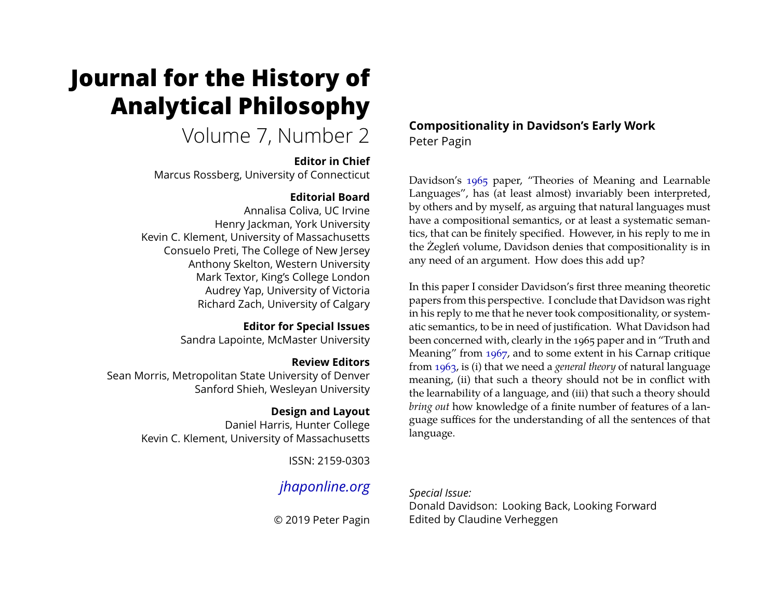# <span id="page-0-0"></span>**Journal for the History of Analytical Philosophy**

Volume 7, Number 2

#### **Editor in Chief**

Marcus Rossberg, University of Connecticut

#### **Editorial Board**

Annalisa Coliva, UC Irvine Henry Jackman, York University Kevin C. Klement, University of Massachusetts Consuelo Preti, The College of New Jersey Anthony Skelton, Western University Mark Textor, King's College London Audrey Yap, University of Victoria Richard Zach, University of Calgary

> **Editor for Special Issues** Sandra Lapointe, McMaster University

> > **Review Editors**

Sean Morris, Metropolitan State University of Denver Sanford Shieh, Wesleyan University

#### **Design and Layout**

Daniel Harris, Hunter College Kevin C. Klement, University of Massachusetts

ISSN: 2159-0303

# *[jhaponline.org](https://jhaponline.org)*

© 2019 Peter Pagin

**Compositionality in Davidson's Early Work** Peter Pagin

Davidson's [1965](#page-12-0) paper, "Theories of Meaning and Learnable Languages", has (at least almost) invariably been interpreted, by others and by myself, as arguing that natural languages must have a compositional semantics, or at least a systematic semantics, that can be finitely specified. However, in his reply to me in the Żegleń volume, Davidson denies that compositionality is in any need of an argument. How does this add up?

In this paper I consider Davidson's first three meaning theoretic papers from this perspective. I conclude that Davidson was right in his reply to me that he never took compositionality, or systematic semantics, to be in need of justification. What Davidson had been concerned with, clearly in the 1965 paper and in "Truth and Meaning" from [1967,](#page-12-1) and to some extent in his Carnap critique from [1963,](#page-12-2) is (i) that we need a *general theory* of natural language meaning, (ii) that such a theory should not be in conflict with the learnability of a language, and (iii) that such a theory should *bring out* how knowledge of a finite number of features of a language suffices for the understanding of all the sentences of that language.

#### *Special Issue:*

Donald Davidson: Looking Back, Looking Forward Edited by Claudine Verheggen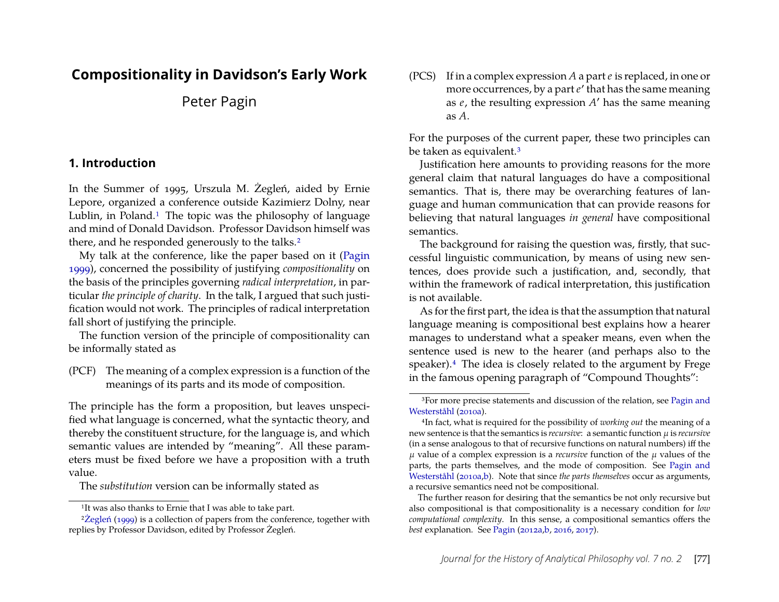## **Compositionality in Davidson's Early Work**

Peter Pagin

#### **1. Introduction**

In the Summer of 1995, Urszula M. Żegleń, aided by Ernie Lepore, organized a conference outside Kazimierz Dolny, near Lublin, in Poland.<sup>[1](#page-1-0)</sup> The topic was the philosophy of language and mind of Donald Davidson. Professor Davidson himself was there, and he responded generously to the talks.<sup>[2](#page-1-1)</sup>

My talk at the conference, like the paper based on it [\(Pagin](#page-13-0) [1999\)](#page-13-0), concerned the possibility of justifying *compositionality* on the basis of the principles governing *radical interpretation*, in particular *the principle of charity*. In the talk, I argued that such justification would not work. The principles of radical interpretation fall short of justifying the principle.

The function version of the principle of compositionality can be informally stated as

<span id="page-1-4"></span>(PCF) The meaning of a complex expression is a function of the meanings of its parts and its mode of composition.

The principle has the form a proposition, but leaves unspecified what language is concerned, what the syntactic theory, and thereby the constituent structure, for the language is, and which semantic values are intended by "meaning". All these parameters must be fixed before we have a proposition with a truth value.

The *substitution* version can be informally stated as

<span id="page-1-5"></span>(PCS) If in a complex expression *A* a part *e* is replaced, in one or more occurrences, by a part *e* ′ that has the same meaning as *e*, the resulting expression *A* ′ has the same meaning as *A*.

For the purposes of the current paper, these two principles can be taken as equivalent.[3](#page-1-2)

Justification here amounts to providing reasons for the more general claim that natural languages do have a compositional semantics. That is, there may be overarching features of language and human communication that can provide reasons for believing that natural languages *in general* have compositional semantics.

The background for raising the question was, firstly, that successful linguistic communication, by means of using new sentences, does provide such a justification, and, secondly, that within the framework of radical interpretation, this justification is not available.

As for the first part, the idea is that the assumption that natural language meaning is compositional best explains how a hearer manages to understand what a speaker means, even when the sentence used is new to the hearer (and perhaps also to the speaker).[4](#page-1-3) The idea is closely related to the argument by Frege in the famous opening paragraph of "Compound Thoughts":

<span id="page-1-1"></span><span id="page-1-0"></span><sup>1</sup>It was also thanks to Ernie that I was able to take part.

<sup>&</sup>lt;sup>2</sup>Zegleń [\(1999\)](#page-13-1) is a collection of papers from the conference, together with replies by Professor Davidson, edited by Professor Żegleń.

<span id="page-1-2"></span><sup>&</sup>lt;sup>3</sup>For more precise statements and discussion of the relation, see [Pagin and](#page-13-2) [Westerståhl](#page-13-2) [\(2010a\)](#page-13-2).

<span id="page-1-3"></span><sup>4</sup>In fact, what is required for the possibility of *working out* the meaning of a new sentence is that the semantics is *recursive*: a semantic function µ is *recursive* (in a sense analogous to that of recursive functions on natural numbers) iff the  $\mu$  value of a complex expression is a *recursive* function of the  $\mu$  values of the parts, the parts themselves, and the mode of composition. See [Pagin and](#page-13-2) [Westerståhl](#page-13-2) [\(2010a,](#page-13-2)[b\)](#page-13-3). Note that since *the parts themselves* occur as arguments, a recursive semantics need not be compositional.

The further reason for desiring that the semantics be not only recursive but also compositional is that compositionality is a necessary condition for *low computational complexity*. In this sense, a compositional semantics offers the *best* explanation. See [Pagin](#page-13-4) [\(2012a](#page-13-4)[,b,](#page-13-5) [2016,](#page-13-6) [2017\)](#page-13-7).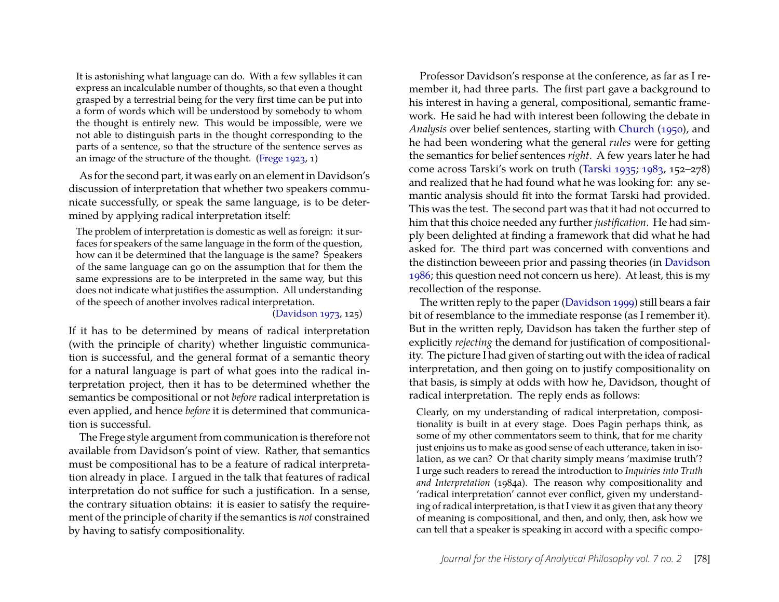It is astonishing what language can do. With a few syllables it can express an incalculable number of thoughts, so that even a thought grasped by a terrestrial being for the very first time can be put into a form of words which will be understood by somebody to whom the thought is entirely new. This would be impossible, were we not able to distinguish parts in the thought corresponding to the parts of a sentence, so that the structure of the sentence serves as an image of the structure of the thought. [\(Frege 1923,](#page-13-8) 1)

As for the second part, it was early on an element in Davidson's discussion of interpretation that whether two speakers communicate successfully, or speak the same language, is to be determined by applying radical interpretation itself:

The problem of interpretation is domestic as well as foreign: it surfaces for speakers of the same language in the form of the question, how can it be determined that the language is the same? Speakers of the same language can go on the assumption that for them the same expressions are to be interpreted in the same way, but this does not indicate what justifies the assumption. All understanding of the speech of another involves radical interpretation.

[\(Davidson 1973,](#page-12-3) 125)

If it has to be determined by means of radical interpretation (with the principle of charity) whether linguistic communication is successful, and the general format of a semantic theory for a natural language is part of what goes into the radical interpretation project, then it has to be determined whether the semantics be compositional or not *before* radical interpretation is even applied, and hence *before* it is determined that communication is successful.

The Frege style argument from communication is therefore not available from Davidson's point of view. Rather, that semantics must be compositional has to be a feature of radical interpretation already in place. I argued in the talk that features of radical interpretation do not suffice for such a justification. In a sense, the contrary situation obtains: it is easier to satisfy the requirement of the principle of charity if the semantics is *not* constrained by having to satisfy compositionality.

Professor Davidson's response at the conference, as far as I remember it, had three parts. The first part gave a background to his interest in having a general, compositional, semantic framework. He said he had with interest been following the debate in *Analysis* over belief sentences, starting with [Church](#page-12-4) [\(1950\)](#page-12-4), and he had been wondering what the general *rules* were for getting the semantics for belief sentences *right*. A few years later he had come across Tarski's work on truth [\(Tarski 1935;](#page-13-9) [1983,](#page-13-10) 152–278) and realized that he had found what he was looking for: any semantic analysis should fit into the format Tarski had provided. This was the test. The second part was that it had not occurred to him that this choice needed any further *justification*. He had simply been delighted at finding a framework that did what he had asked for. The third part was concerned with conventions and the distinction beweeen prior and passing theories (in [Davidson](#page-12-5) [1986;](#page-12-5) this question need not concern us here). At least, this is my recollection of the response.

The written reply to the paper [\(Davidson 1999\)](#page-13-11) still bears a fair bit of resemblance to the immediate response (as I remember it). But in the written reply, Davidson has taken the further step of explicitly *rejecting* the demand for justification of compositionality. The picture I had given of starting out with the idea of radical interpretation, and then going on to justify compositionality on that basis, is simply at odds with how he, Davidson, thought of radical interpretation. The reply ends as follows:

Clearly, on my understanding of radical interpretation, compositionality is built in at every stage. Does Pagin perhaps think, as some of my other commentators seem to think, that for me charity just enjoins us to make as good sense of each utterance, taken in isolation, as we can? Or that charity simply means 'maximise truth'? I urge such readers to reread the introduction to *Inquiries into Truth and Interpretation* (1984a). The reason why compositionality and 'radical interpretation' cannot ever conflict, given my understanding of radical interpretation, is that I view it as given that any theory of meaning is compositional, and then, and only, then, ask how we can tell that a speaker is speaking in accord with a specific compo-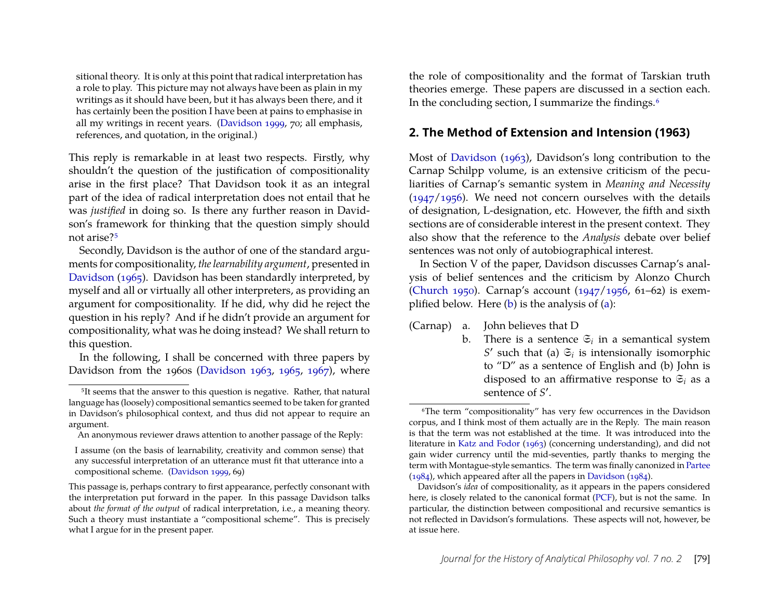sitional theory. It is only at this point that radical interpretation has a role to play. This picture may not always have been as plain in my writings as it should have been, but it has always been there, and it has certainly been the position I have been at pains to emphasise in all my writings in recent years. [\(Davidson 1999,](#page-13-11) 70; all emphasis, references, and quotation, in the original.)

This reply is remarkable in at least two respects. Firstly, why shouldn't the question of the justification of compositionality arise in the first place? That Davidson took it as an integral part of the idea of radical interpretation does not entail that he was *justified* in doing so. Is there any further reason in Davidson's framework for thinking that the question simply should not arise?[5](#page-3-0)

Secondly, Davidson is the author of one of the standard arguments for compositionality, *the learnability argument*, presented in [Davidson](#page-12-0) [\(1965\)](#page-12-0). Davidson has been standardly interpreted, by myself and all or virtually all other interpreters, as providing an argument for compositionality. If he did, why did he reject the question in his reply? And if he didn't provide an argument for compositionality, what was he doing instead? We shall return to this question.

In the following, I shall be concerned with three papers by Davidson from the 1960s [\(Davidson 1963,](#page-12-2) [1965,](#page-12-0) [1967\)](#page-12-1), where the role of compositionality and the format of Tarskian truth theories emerge. These papers are discussed in a section each. In the concluding section, I summarize the findings.<sup>[6](#page-3-1)</sup>

#### **2. The Method of Extension and Intension (1963)**

Most of [Davidson](#page-12-2) [\(1963\)](#page-12-2), Davidson's long contribution to the Carnap Schilpp volume, is an extensive criticism of the peculiarities of Carnap's semantic system in *Meaning and Necessity* [\(1947](#page-12-6)[/1956\)](#page-12-7). We need not concern ourselves with the details of designation, L-designation, etc. However, the fifth and sixth sections are of considerable interest in the present context. They also show that the reference to the *Analysis* debate over belief sentences was not only of autobiographical interest.

In Section V of the paper, Davidson discusses Carnap's analysis of belief sentences and the criticism by Alonzo Church [\(Church 1950\)](#page-12-4). Carnap's account [\(1947/](#page-12-6)[1956,](#page-12-7) 61–62) is exemplified below. Here [\(b\)](#page-0-0) is the analysis of [\(a\)](#page-0-0):

<span id="page-3-3"></span>(Carnap) a. John believes that D

<span id="page-3-2"></span>b. There is a sentence  $\mathfrak{S}_i$  in a semantical system *S*<sup> $\prime$ </sup> such that (a)  $\mathfrak{S}_i$  is intensionally isomorphic to "D" as a sentence of English and (b) John is disposed to an affirmative response to  $\mathfrak{S}_i$  as a sentence of S'.

<span id="page-3-0"></span><sup>&</sup>lt;sup>5</sup>It seems that the answer to this question is negative. Rather, that natural language has (loosely) compositional semantics seemed to be taken for granted in Davidson's philosophical context, and thus did not appear to require an argument.

An anonymous reviewer draws attention to another passage of the Reply:

I assume (on the basis of learnability, creativity and common sense) that any successful interpretation of an utterance must fit that utterance into a compositional scheme. [\(Davidson 1999,](#page-13-11) 69)

This passage is, perhaps contrary to first appearance, perfectly consonant with the interpretation put forward in the paper. In this passage Davidson talks about *the format of the output* of radical interpretation, i.e., a meaning theory. Such a theory must instantiate a "compositional scheme". This is precisely what I argue for in the present paper.

<span id="page-3-1"></span><sup>6</sup>The term "compositionality" has very few occurrences in the Davidson corpus, and I think most of them actually are in the Reply. The main reason is that the term was not established at the time. It was introduced into the literature in [Katz and Fodor](#page-13-12) [\(1963\)](#page-13-12) (concerning understanding), and did not gain wider currency until the mid-seventies, partly thanks to merging the term with Montague-style semantics. The term was finally canonized in [Partee](#page-13-13) [\(1984\)](#page-13-13), which appeared after all the papers in [Davidson](#page-12-8) [\(1984\)](#page-12-8).

Davidson's *idea* of compositionality, as it appears in the papers considered here, is closely related to the canonical format [\(PCF\)](#page-1-4), but is not the same. In particular, the distinction between compositional and recursive semantics is not reflected in Davidson's formulations. These aspects will not, however, be at issue here.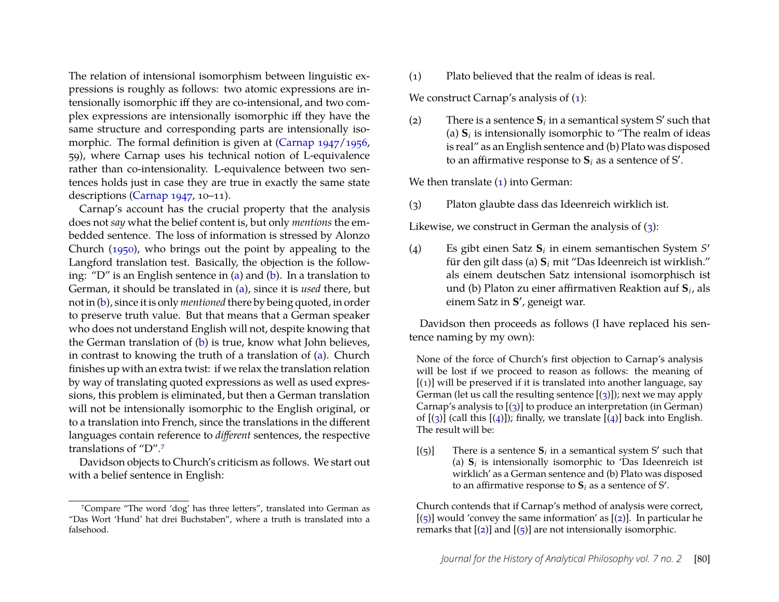The relation of intensional isomorphism between linguistic expressions is roughly as follows: two atomic expressions are intensionally isomorphic iff they are co-intensional, and two complex expressions are intensionally isomorphic iff they have the same structure and corresponding parts are intensionally iso-morphic. The formal definition is given at [\(Carnap 1947/](#page-12-6)[1956,](#page-12-7) 59), where Carnap uses his technical notion of L-equivalence rather than co-intensionality. L-equivalence between two sentences holds just in case they are true in exactly the same state descriptions [\(Carnap 1947,](#page-12-6) 10–11).

Carnap's account has the crucial property that the analysis does not *say* what the belief content is, but only *mentions* the embedded sentence. The loss of information is stressed by Alonzo Church [\(1950\)](#page-12-4), who brings out the point by appealing to the Langford translation test. Basically, the objection is the following: "D" is an English sentence in [\(a\)](#page-0-0) and [\(b\)](#page-0-0). In a translation to German, it should be translated in [\(a\)](#page-0-0), since it is *used* there, but not in [\(b\)](#page-0-0), since it is only *mentioned* there by being quoted, in order to preserve truth value. But that means that a German speaker who does not understand English will not, despite knowing that the German translation of [\(b\)](#page-0-0) is true, know what John believes, in contrast to knowing the truth of a translation of [\(a\)](#page-0-0). Church finishes up with an extra twist: if we relax the translation relation by way of translating quoted expressions as well as used expressions, this problem is eliminated, but then a German translation will not be intensionally isomorphic to the English original, or to a translation into French, since the translations in the different languages contain reference to *different* sentences, the respective translations of "D".[7](#page-4-0)

Davidson objects to Church's criticism as follows. We start out with a belief sentence in English:

<span id="page-4-1"></span>(1) Plato believed that the realm of ideas is real.

We construct Carnap's analysis of [\(1\)](#page-4-1):

<span id="page-4-10"></span><span id="page-4-9"></span>(2) There is a sentence  $S_i$  in a semantical system S' such that (a)  $S_i$  is intensionally isomorphic to "The realm of ideas is real" as an English sentence and (b) Plato was disposed to an affirmative response to  $S_i$  as a sentence of S'.

<span id="page-4-4"></span>We then translate  $(1)$  into German:

<span id="page-4-3"></span>(3) Platon glaubte dass das Ideenreich wirklich ist.

Likewise, we construct in German the analysis of  $(3)$ :

<span id="page-4-6"></span><span id="page-4-5"></span>(4) Es gibt einen Satz **S***<sup>i</sup>* in einem semantischen System *S* ′ für den gilt dass (a) **S***<sup>i</sup>* mit "Das Ideenreich ist wirklish." als einem deutschen Satz intensional isomorphisch ist und (b) Platon zu einer affirmativen Reaktion auf **S***<sup>i</sup>* , als einem Satz in **S** ′ , geneigt war.

Davidson then proceeds as follows (I have replaced his sentence naming by my own):

None of the force of Church's first objection to Carnap's analysis will be lost if we proceed to reason as follows: the meaning of  $[(1)]$  $[(1)]$  $[(1)]$  will be preserved if it is translated into another language, say German (let us call the resulting sentence  $[(3)]$  $[(3)]$  $[(3)]$ ); next we may apply Carnap's analysis to  $[(3)]$  $[(3)]$  $[(3)]$  to produce an interpretation (in German) of  $[(3)]$  $[(3)]$  $[(3)]$  (call this  $[(4)]$  $[(4)]$  $[(4)]$ ); finally, we translate  $[(4)]$  back into English. The result will be:

<span id="page-4-8"></span><span id="page-4-7"></span>[(5)] There is a sentence  $S_i$  in a semantical system S' such that (a)  $S_i$  is intensionally isomorphic to 'Das Ideenreich ist wirklich' as a German sentence and (b) Plato was disposed to an affirmative response to  $S_i$  as a sentence of S'.

Church contends that if Carnap's method of analysis were correct,  $[(5)]$  $[(5)]$  $[(5)]$  would 'convey the same information' as  $[(2)]$  $[(2)]$  $[(2)]$ . In particular he remarks that  $[(2)]$  $[(2)]$  $[(2)]$  and  $[(5)]$  $[(5)]$  $[(5)]$  are not intensionally isomorphic.

<span id="page-4-2"></span><span id="page-4-0"></span><sup>7</sup>Compare "The word 'dog' has three letters", translated into German as "Das Wort 'Hund' hat drei Buchstaben", where a truth is translated into a falsehood.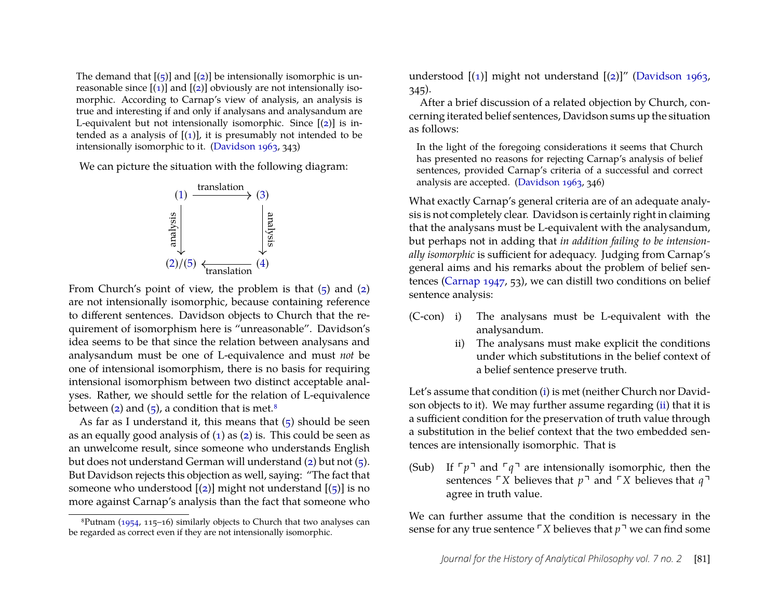The demand that  $[(5)]$  $[(5)]$  $[(5)]$  and  $[(2)]$  $[(2)]$  $[(2)]$  be intensionally isomorphic is unreasonable since  $[(1)]$  $[(1)]$  $[(1)]$  and  $[(2)]$  $[(2)]$  $[(2)]$  obviously are not intensionally isomorphic. According to Carnap's view of analysis, an analysis is true and interesting if and only if analysans and analysandum are L-equivalent but not intensionally isomorphic. Since  $[(2)]$  $[(2)]$  $[(2)]$  is intended as a analysis of  $[(1)]$  $[(1)]$  $[(1)]$ , it is presumably not intended to be intensionally isomorphic to it. [\(Davidson 1963,](#page-12-2) 343)

We can picture the situation with the following diagram:



From Church's point of view, the problem is that  $(5)$  and  $(2)$ are not intensionally isomorphic, because containing reference to different sentences. Davidson objects to Church that the requirement of isomorphism here is "unreasonable". Davidson's idea seems to be that since the relation between analysans and analysandum must be one of L-equivalence and must *not* be one of intensional isomorphism, there is no basis for requiring intensional isomorphism between two distinct acceptable analyses. Rather, we should settle for the relation of L-equivalence between [\(2\)](#page-4-9) and [\(5\)](#page-4-7), a condition that is met.<sup>[8](#page-5-0)</sup>

As far as I understand it, this means that  $(5)$  should be seen as an equally good analysis of  $(1)$  as  $(2)$  is. This could be seen as an unwelcome result, since someone who understands English but does not understand German will understand [\(2\)](#page-4-9) but not [\(5\)](#page-4-7). But Davidson rejects this objection as well, saying: "The fact that someone who understood  $[(2)]$  $[(2)]$  $[(2)]$  might not understand  $[(5)]$  $[(5)]$  $[(5)]$  is no more against Carnap's analysis than the fact that someone who understood  $[(1)]$  $[(1)]$  $[(1)]$  might not understand  $[(2)]''$  $[(2)]''$  $[(2)]''$  [\(Davidson 1963,](#page-12-2) 345).

After a brief discussion of a related objection by Church, concerning iterated belief sentences, Davidson sums up the situation as follows:

In the light of the foregoing considerations it seems that Church has presented no reasons for rejecting Carnap's analysis of belief sentences, provided Carnap's criteria of a successful and correct analysis are accepted. [\(Davidson 1963,](#page-12-2) 346)

What exactly Carnap's general criteria are of an adequate analysis is not completely clear. Davidson is certainly right in claiming that the analysans must be L-equivalent with the analysandum, but perhaps not in adding that *in addition failing to be intensionally isomorphic* is sufficient for adequacy. Judging from Carnap's general aims and his remarks about the problem of belief sentences [\(Carnap 1947,](#page-12-6) 53), we can distill two conditions on belief sentence analysis:

- <span id="page-5-1"></span>(C-con) i) The analysans must be L-equivalent with the analysandum.
	- ii) The analysans must make explicit the conditions under which substitutions in the belief context of a belief sentence preserve truth.

Let's assume that condition [\(i\)](#page-0-0) is met (neither Church nor Davidson objects to it). We may further assume regarding [\(ii\)](#page-0-0) that it is a sufficient condition for the preservation of truth value through a substitution in the belief context that the two embedded sentences are intensionally isomorphic. That is

<span id="page-5-2"></span>(Sub) If  $\lceil p \rceil$  and  $\lceil q \rceil$  are intensionally isomorphic, then the sentences  $\ulcorner$ *X* believes that  $p\urcorner$  and  $\ulcorner$ *X* believes that  $q\urcorner$ agree in truth value.

We can further assume that the condition is necessary in the sense for any true sentence  $\sqrt{X}$  believes that  $p^{\dagger}$  we can find some

<span id="page-5-0"></span> ${}^{8}$ Putnam [\(1954,](#page-13-14) 115–16) similarly objects to Church that two analyses can be regarded as correct even if they are not intensionally isomorphic.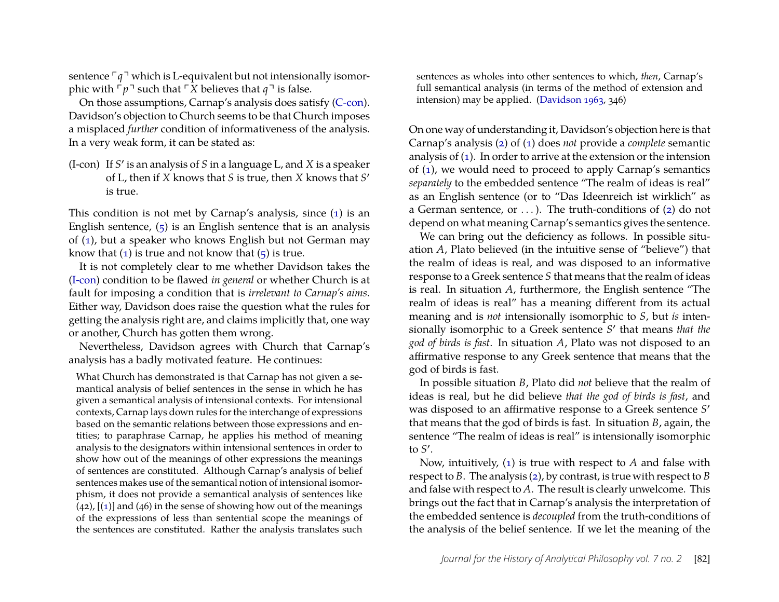sentence  $\lceil q \rceil$  which is L-equivalent but not intensionally isomorphic with  $\lceil p \rceil$  such that  $\lceil X \rceil$  believes that  $q \rceil$  is false.

On those assumptions, Carnap's analysis does satisfy [\(C-con\)](#page-5-1). Davidson's objection to Church seems to be that Church imposes a misplaced *further* condition of informativeness of the analysis. In a very weak form, it can be stated as:

<span id="page-6-0"></span>(I-con) If *S* ′ is an analysis of *S* in a language L, and *X* is a speaker of L, then if *X* knows that *S* is true, then *X* knows that *S* ′ is true.

This condition is not met by Carnap's analysis, since [\(1\)](#page-4-1) is an English sentence,  $(5)$  is an English sentence that is an analysis of [\(1\)](#page-4-1), but a speaker who knows English but not German may know that  $(1)$  is true and not know that  $(5)$  is true.

It is not completely clear to me whether Davidson takes the [\(I-con\)](#page-6-0) condition to be flawed *in general* or whether Church is at fault for imposing a condition that is *irrelevant to Carnap's aims*. Either way, Davidson does raise the question what the rules for getting the analysis right are, and claims implicitly that, one way or another, Church has gotten them wrong.

Nevertheless, Davidson agrees with Church that Carnap's analysis has a badly motivated feature. He continues:

What Church has demonstrated is that Carnap has not given a semantical analysis of belief sentences in the sense in which he has given a semantical analysis of intensional contexts. For intensional contexts, Carnap lays down rules for the interchange of expressions based on the semantic relations between those expressions and entities; to paraphrase Carnap, he applies his method of meaning analysis to the designators within intensional sentences in order to show how out of the meanings of other expressions the meanings of sentences are constituted. Although Carnap's analysis of belief sentences makes use of the semantical notion of intensional isomorphism, it does not provide a semantical analysis of sentences like  $(42)$ ,  $[(1)]$  $[(1)]$  $[(1)]$  and  $(46)$  in the sense of showing how out of the meanings of the expressions of less than sentential scope the meanings of the sentences are constituted. Rather the analysis translates such

sentences as wholes into other sentences to which, *then*, Carnap's full semantical analysis (in terms of the method of extension and intension) may be applied. [\(Davidson 1963,](#page-12-2) 346)

On one way of understanding it, Davidson's objection here is that Carnap's analysis [\(2\)](#page-4-9) of [\(1\)](#page-4-1) does *not* provide a *complete* semantic analysis of [\(1\)](#page-4-1). In order to arrive at the extension or the intension of [\(1\)](#page-4-1), we would need to proceed to apply Carnap's semantics *separately* to the embedded sentence "The realm of ideas is real" as an English sentence (or to "Das Ideenreich ist wirklich" as a German sentence, or  $\dots$ ). The truth-conditions of [\(2\)](#page-4-9) do not depend on what meaning Carnap's semantics gives the sentence.

We can bring out the deficiency as follows. In possible situation *A*, Plato believed (in the intuitive sense of "believe") that the realm of ideas is real, and was disposed to an informative response to a Greek sentence *S* that means that the realm of ideas is real. In situation *A*, furthermore, the English sentence "The realm of ideas is real" has a meaning different from its actual meaning and is *not* intensionally isomorphic to *S*, but *is* intensionally isomorphic to a Greek sentence *S* ′ that means *that the god of birds is fast*. In situation *A*, Plato was not disposed to an affirmative response to any Greek sentence that means that the god of birds is fast.

In possible situation *B*, Plato did *not* believe that the realm of ideas is real, but he did believe *that the god of birds is fast*, and was disposed to an affirmative response to a Greek sentence *S* ′ that means that the god of birds is fast. In situation *B*, again, the sentence "The realm of ideas is real" is intensionally isomorphic to *S* ′ .

Now, intuitively, [\(1\)](#page-4-1) is true with respect to *A* and false with respect to *B*. The analysis [\(2\)](#page-4-9), by contrast, is true with respect to *B* and false with respect to *A*. The result is clearly unwelcome. This brings out the fact that in Carnap's analysis the interpretation of the embedded sentence is *decoupled* from the truth-conditions of the analysis of the belief sentence. If we let the meaning of the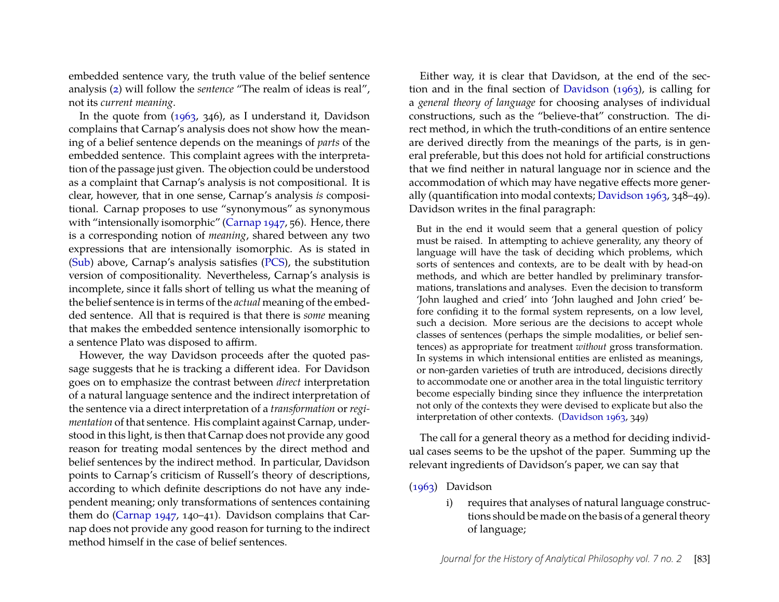embedded sentence vary, the truth value of the belief sentence analysis [\(2\)](#page-4-9) will follow the *sentence* "The realm of ideas is real", not its *current meaning*.

In the quote from [\(1963,](#page-12-2) 346), as I understand it, Davidson complains that Carnap's analysis does not show how the meaning of a belief sentence depends on the meanings of *parts* of the embedded sentence. This complaint agrees with the interpretation of the passage just given. The objection could be understood as a complaint that Carnap's analysis is not compositional. It is clear, however, that in one sense, Carnap's analysis *is* compositional. Carnap proposes to use "synonymous" as synonymous with "intensionally isomorphic" [\(Carnap 1947,](#page-12-6) 56). Hence, there is a corresponding notion of *meaning*, shared between any two expressions that are intensionally isomorphic. As is stated in [\(Sub\)](#page-5-2) above, Carnap's analysis satisfies [\(PCS\)](#page-1-5), the substitution version of compositionality. Nevertheless, Carnap's analysis is incomplete, since it falls short of telling us what the meaning of the belief sentence is in terms of the *actual* meaning of the embedded sentence. All that is required is that there is *some* meaning that makes the embedded sentence intensionally isomorphic to a sentence Plato was disposed to affirm.

However, the way Davidson proceeds after the quoted passage suggests that he is tracking a different idea. For Davidson goes on to emphasize the contrast between *direct* interpretation of a natural language sentence and the indirect interpretation of the sentence via a direct interpretation of a *transformation* or *regimentation* of that sentence. His complaint against Carnap, understood in this light, is then that Carnap does not provide any good reason for treating modal sentences by the direct method and belief sentences by the indirect method. In particular, Davidson points to Carnap's criticism of Russell's theory of descriptions, according to which definite descriptions do not have any independent meaning; only transformations of sentences containing them do [\(Carnap 1947,](#page-12-6) 140–41). Davidson complains that Carnap does not provide any good reason for turning to the indirect method himself in the case of belief sentences.

Either way, it is clear that Davidson, at the end of the section and in the final section of [Davidson](#page-12-2) [\(1963\)](#page-12-2), is calling for a *general theory of language* for choosing analyses of individual constructions, such as the "believe-that" construction. The direct method, in which the truth-conditions of an entire sentence are derived directly from the meanings of the parts, is in general preferable, but this does not hold for artificial constructions that we find neither in natural language nor in science and the accommodation of which may have negative effects more generally (quantification into modal contexts; [Davidson 1963,](#page-12-2) 348–49). Davidson writes in the final paragraph:

But in the end it would seem that a general question of policy must be raised. In attempting to achieve generality, any theory of language will have the task of deciding which problems, which sorts of sentences and contexts, are to be dealt with by head-on methods, and which are better handled by preliminary transformations, translations and analyses. Even the decision to transform 'John laughed and cried' into 'John laughed and John cried' before confiding it to the formal system represents, on a low level, such a decision. More serious are the decisions to accept whole classes of sentences (perhaps the simple modalities, or belief sentences) as appropriate for treatment *without* gross transformation. In systems in which intensional entities are enlisted as meanings, or non-garden varieties of truth are introduced, decisions directly to accommodate one or another area in the total linguistic territory become especially binding since they influence the interpretation not only of the contexts they were devised to explicate but also the interpretation of other contexts. [\(Davidson 1963,](#page-12-2) 349)

The call for a general theory as a method for deciding individual cases seems to be the upshot of the paper. Summing up the relevant ingredients of Davidson's paper, we can say that

#### [\(1963\)](#page-12-2) Davidson

i) requires that analyses of natural language constructions should be made on the basis of a general theory of language;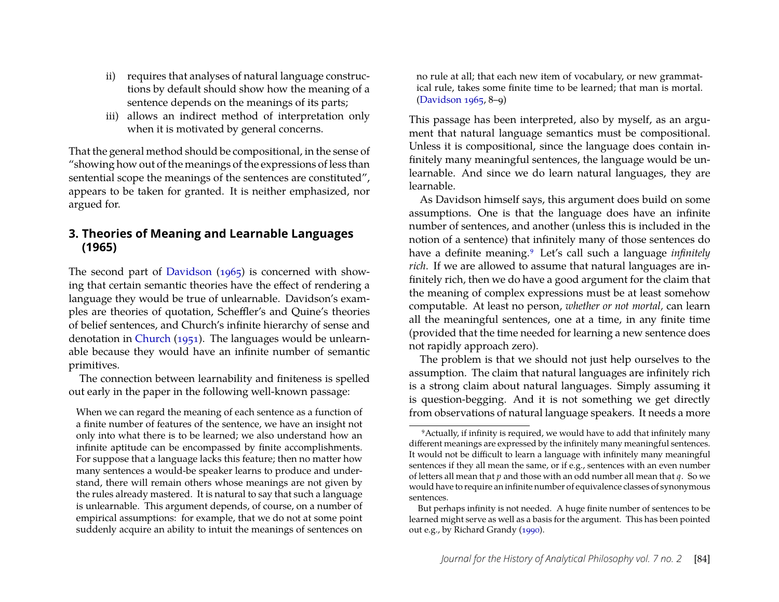- ii) requires that analyses of natural language constructions by default should show how the meaning of a sentence depends on the meanings of its parts;
- iii) allows an indirect method of interpretation only when it is motivated by general concerns.

That the general method should be compositional, in the sense of "showing how out of the meanings of the expressions of less than sentential scope the meanings of the sentences are constituted", appears to be taken for granted. It is neither emphasized, nor argued for.

#### **3. Theories of Meaning and Learnable Languages (1965)**

The second part of [Davidson](#page-12-0) [\(1965\)](#page-12-0) is concerned with showing that certain semantic theories have the effect of rendering a language they would be true of unlearnable. Davidson's examples are theories of quotation, Scheffler's and Quine's theories of belief sentences, and Church's infinite hierarchy of sense and denotation in [Church](#page-12-9) [\(1951\)](#page-12-9). The languages would be unlearnable because they would have an infinite number of semantic primitives.

The connection between learnability and finiteness is spelled out early in the paper in the following well-known passage:

When we can regard the meaning of each sentence as a function of a finite number of features of the sentence, we have an insight not only into what there is to be learned; we also understand how an infinite aptitude can be encompassed by finite accomplishments. For suppose that a language lacks this feature; then no matter how many sentences a would-be speaker learns to produce and understand, there will remain others whose meanings are not given by the rules already mastered. It is natural to say that such a language is unlearnable. This argument depends, of course, on a number of empirical assumptions: for example, that we do not at some point suddenly acquire an ability to intuit the meanings of sentences on

no rule at all; that each new item of vocabulary, or new grammatical rule, takes some finite time to be learned; that man is mortal. [\(Davidson 1965,](#page-12-0) 8–9)

This passage has been interpreted, also by myself, as an argument that natural language semantics must be compositional. Unless it is compositional, since the language does contain infinitely many meaningful sentences, the language would be unlearnable. And since we do learn natural languages, they are learnable.

As Davidson himself says, this argument does build on some assumptions. One is that the language does have an infinite number of sentences, and another (unless this is included in the notion of a sentence) that infinitely many of those sentences do have a definite meaning.<sup>[9](#page-8-0)</sup> Let's call such a language *infinitely rich*. If we are allowed to assume that natural languages are infinitely rich, then we do have a good argument for the claim that the meaning of complex expressions must be at least somehow computable. At least no person, *whether or not mortal,* can learn all the meaningful sentences, one at a time, in any finite time (provided that the time needed for learning a new sentence does not rapidly approach zero).

The problem is that we should not just help ourselves to the assumption. The claim that natural languages are infinitely rich is a strong claim about natural languages. Simply assuming it is question-begging. And it is not something we get directly from observations of natural language speakers. It needs a more

<span id="page-8-0"></span><sup>9</sup>Actually, if infinity is required, we would have to add that infinitely many different meanings are expressed by the infinitely many meaningful sentences. It would not be difficult to learn a language with infinitely many meaningful sentences if they all mean the same, or if e.g., sentences with an even number of letters all mean that *p* and those with an odd number all mean that *q*. So we would have to require an infinite number of equivalence classes of synonymous sentences.

But perhaps infinity is not needed. A huge finite number of sentences to be learned might serve as well as a basis for the argument. This has been pointed out e.g., by Richard Grandy [\(1990\)](#page-13-15).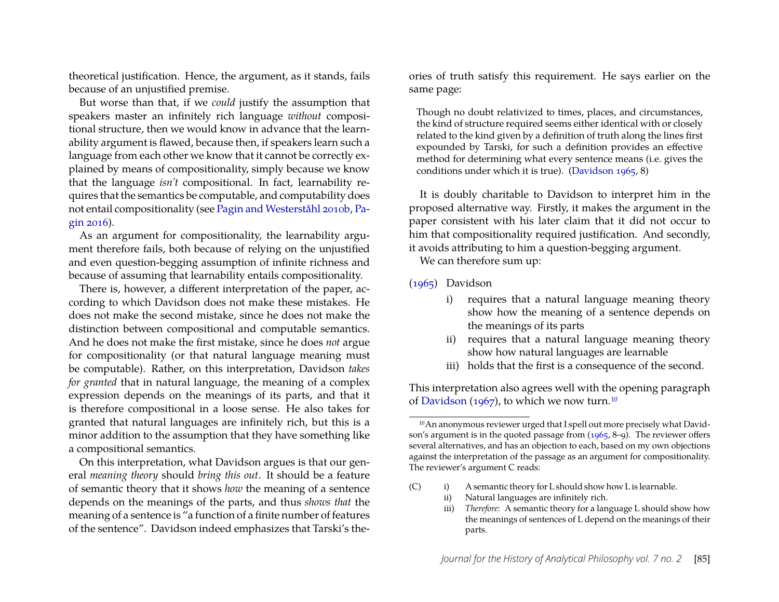theoretical justification. Hence, the argument, as it stands, fails because of an unjustified premise.

But worse than that, if we *could* justify the assumption that speakers master an infinitely rich language *without* compositional structure, then we would know in advance that the learnability argument is flawed, because then, if speakers learn such a language from each other we know that it cannot be correctly explained by means of compositionality, simply because we know that the language *isn't* compositional. In fact, learnability requires that the semantics be computable, and computability does not entail compositionality (see [Pagin and Westerståhl 2010b,](#page-13-3) [Pa](#page-13-6)[gin 2016\)](#page-13-6).

As an argument for compositionality, the learnability argument therefore fails, both because of relying on the unjustified and even question-begging assumption of infinite richness and because of assuming that learnability entails compositionality.

There is, however, a different interpretation of the paper, according to which Davidson does not make these mistakes. He does not make the second mistake, since he does not make the distinction between compositional and computable semantics. And he does not make the first mistake, since he does *not* argue for compositionality (or that natural language meaning must be computable). Rather, on this interpretation, Davidson *takes for granted* that in natural language, the meaning of a complex expression depends on the meanings of its parts, and that it is therefore compositional in a loose sense. He also takes for granted that natural languages are infinitely rich, but this is a minor addition to the assumption that they have something like a compositional semantics.

On this interpretation, what Davidson argues is that our general *meaning theory* should *bring this out*. It should be a feature of semantic theory that it shows *how* the meaning of a sentence depends on the meanings of the parts, and thus *shows that* the meaning of a sentence is "a function of a finite number of features of the sentence". Davidson indeed emphasizes that Tarski's theories of truth satisfy this requirement. He says earlier on the same page:

Though no doubt relativized to times, places, and circumstances, the kind of structure required seems either identical with or closely related to the kind given by a definition of truth along the lines first expounded by Tarski, for such a definition provides an effective method for determining what every sentence means (i.e. gives the conditions under which it is true). [\(Davidson 1965,](#page-12-0) 8)

It is doubly charitable to Davidson to interpret him in the proposed alternative way. Firstly, it makes the argument in the paper consistent with his later claim that it did not occur to him that compositionality required justification. And secondly, it avoids attributing to him a question-begging argument.

We can therefore sum up:

- [\(1965\)](#page-12-0) Davidson
	- i) requires that a natural language meaning theory show how the meaning of a sentence depends on the meanings of its parts
	- ii) requires that a natural language meaning theory show how natural languages are learnable
	- iii) holds that the first is a consequence of the second.

This interpretation also agrees well with the opening paragraph of [Davidson](#page-12-1) [\(1967\)](#page-12-1), to which we now turn.<sup>[10](#page-9-0)</sup>

- <span id="page-9-1"></span>(C) i) A semantic theory for L should show how L is learnable.
	- ii) Natural languages are infinitely rich.
	- iii) *Therefore*: A semantic theory for a language L should show how the meanings of sentences of L depend on the meanings of their parts.

<span id="page-9-0"></span><sup>10</sup>An anonymous reviewer urged that I spell out more precisely what Davidson's argument is in the quoted passage from [\(1965,](#page-12-0) 8–9). The reviewer offers several alternatives, and has an objection to each, based on my own objections against the interpretation of the passage as an argument for compositionality. The reviewer's argument C reads: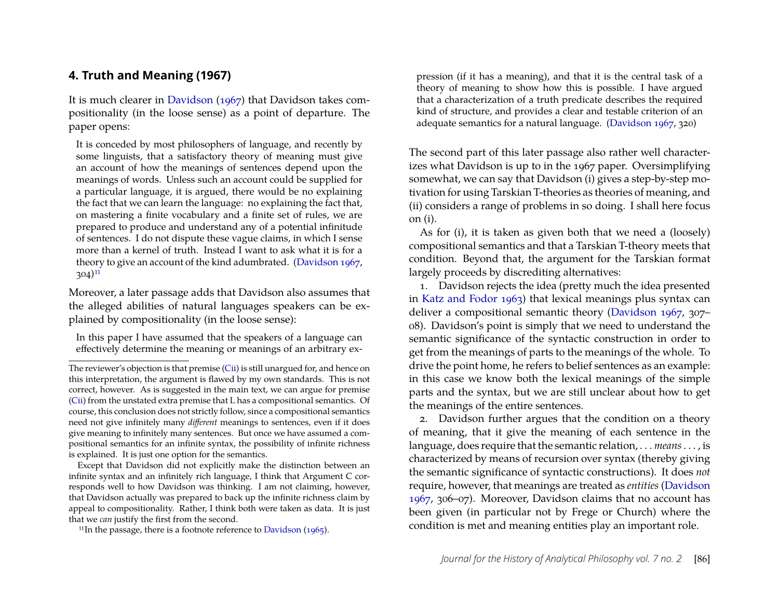#### **4. Truth and Meaning (1967)**

It is much clearer in [Davidson](#page-12-1) [\(1967\)](#page-12-1) that Davidson takes compositionality (in the loose sense) as a point of departure. The paper opens:

It is conceded by most philosophers of language, and recently by some linguists, that a satisfactory theory of meaning must give an account of how the meanings of sentences depend upon the meanings of words. Unless such an account could be supplied for a particular language, it is argued, there would be no explaining the fact that we can learn the language: no explaining the fact that, on mastering a finite vocabulary and a finite set of rules, we are prepared to produce and understand any of a potential infinitude of sentences. I do not dispute these vague claims, in which I sense more than a kernel of truth. Instead I want to ask what it is for a theory to give an account of the kind adumbrated. [\(Davidson 1967,](#page-12-1)  $304)$ <sup>[11](#page-10-0)</sup>

Moreover, a later passage adds that Davidson also assumes that the alleged abilities of natural languages speakers can be explained by compositionality (in the loose sense):

In this paper I have assumed that the speakers of a language can effectively determine the meaning or meanings of an arbitrary ex-

Except that Davidson did not explicitly make the distinction between an infinite syntax and an infinitely rich language, I think that Argument C corresponds well to how Davidson was thinking. I am not claiming, however, that Davidson actually was prepared to back up the infinite richness claim by appeal to compositionality. Rather, I think both were taken as data. It is just that we *can* justify the first from the second.

<span id="page-10-0"></span><sup>11</sup>In the passage, there is a footnote reference to [Davidson](#page-12-0)  $(1965)$ .

pression (if it has a meaning), and that it is the central task of a theory of meaning to show how this is possible. I have argued that a characterization of a truth predicate describes the required kind of structure, and provides a clear and testable criterion of an adequate semantics for a natural language. [\(Davidson 1967,](#page-12-1) 320)

The second part of this later passage also rather well characterizes what Davidson is up to in the 1967 paper. Oversimplifying somewhat, we can say that Davidson (i) gives a step-by-step motivation for using Tarskian T-theories as theories of meaning, and (ii) considers a range of problems in so doing. I shall here focus on (i).

As for (i), it is taken as given both that we need a (loosely) compositional semantics and that a Tarskian T-theory meets that condition. Beyond that, the argument for the Tarskian format largely proceeds by discrediting alternatives:

1. Davidson rejects the idea (pretty much the idea presented in [Katz and Fodor 1963\)](#page-13-12) that lexical meanings plus syntax can deliver a compositional semantic theory [\(Davidson 1967,](#page-12-1) 307– 08). Davidson's point is simply that we need to understand the semantic significance of the syntactic construction in order to get from the meanings of parts to the meanings of the whole. To drive the point home, he refers to belief sentences as an example: in this case we know both the lexical meanings of the simple parts and the syntax, but we are still unclear about how to get the meanings of the entire sentences.

2. Davidson further argues that the condition on a theory of meaning, that it give the meaning of each sentence in the language, does require that the semantic relation, . . . *means*. . . , is characterized by means of recursion over syntax (thereby giving the semantic significance of syntactic constructions). It does *not* require, however, that meanings are treated as *entities* [\(Davidson](#page-12-1) [1967,](#page-12-1) 306–07). Moreover, Davidson claims that no account has been given (in particular not by Frege or Church) where the condition is met and meaning entities play an important role.

The reviewer's objection is that premise [\(Cii\)](#page-0-0) is still unargued for, and hence on this interpretation, the argument is flawed by my own standards. This is not correct, however. As is suggested in the main text, we can argue for premise [\(Cii\)](#page-0-0) from the unstated extra premise that L has a compositional semantics. Of course, this conclusion does not strictly follow, since a compositional semantics need not give infinitely many *different* meanings to sentences, even if it does give meaning to infinitely many sentences. But once we have assumed a compositional semantics for an infinite syntax, the possibility of infinite richness is explained. It is just one option for the semantics.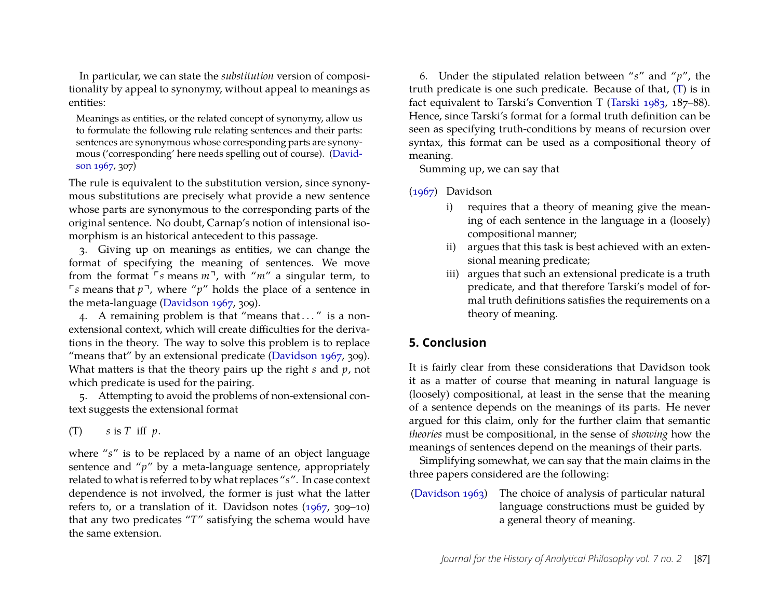In particular, we can state the *substitution* version of compositionality by appeal to synonymy, without appeal to meanings as entities:

Meanings as entities, or the related concept of synonymy, allow us to formulate the following rule relating sentences and their parts: sentences are synonymous whose corresponding parts are synonymous ('corresponding' here needs spelling out of course). [\(David](#page-12-1)[son 1967,](#page-12-1) 307)

The rule is equivalent to the substitution version, since synonymous substitutions are precisely what provide a new sentence whose parts are synonymous to the corresponding parts of the original sentence. No doubt, Carnap's notion of intensional isomorphism is an historical antecedent to this passage.

3. Giving up on meanings as entities, we can change the format of specifying the meaning of sentences. We move from the format  $\sqrt{5}$  means  $m^2$ , with " $m''$  a singular term, to  $\sqrt{p}$  means that  $p^{\dagger}$ , where "*p*" holds the place of a sentence in the meta-language [\(Davidson 1967,](#page-12-1) 309).

4. A remaining problem is that "means that ..." is a nonextensional context, which will create difficulties for the derivations in the theory. The way to solve this problem is to replace "means that" by an extensional predicate [\(Davidson 1967,](#page-12-1) 309). What matters is that the theory pairs up the right *s* and *p*, not which predicate is used for the pairing.

5. Attempting to avoid the problems of non-extensional context suggests the extensional format

<span id="page-11-0"></span> $(T)$  *s* is *T* iff *p*.

where "*s*" is to be replaced by a name of an object language sentence and "*p*" by a meta-language sentence, appropriately related to what is referred to by what replaces "*s*". In case context dependence is not involved, the former is just what the latter refers to, or a translation of it. Davidson notes [\(1967,](#page-12-1) 309–10) that any two predicates "*T*" satisfying the schema would have the same extension.

6. Under the stipulated relation between "*s*" and "*p*", the truth predicate is one such predicate. Because of that, [\(T\)](#page-11-0) is in fact equivalent to Tarski's Convention T [\(Tarski 1983,](#page-13-10) 187–88). Hence, since Tarski's format for a formal truth definition can be seen as specifying truth-conditions by means of recursion over syntax, this format can be used as a compositional theory of meaning.

Summing up, we can say that

[\(1967\)](#page-12-1) Davidson

- i) requires that a theory of meaning give the meaning of each sentence in the language in a (loosely) compositional manner;
- ii) argues that this task is best achieved with an extensional meaning predicate;
- iii) argues that such an extensional predicate is a truth predicate, and that therefore Tarski's model of formal truth definitions satisfies the requirements on a theory of meaning.

### **5. Conclusion**

It is fairly clear from these considerations that Davidson took it as a matter of course that meaning in natural language is (loosely) compositional, at least in the sense that the meaning of a sentence depends on the meanings of its parts. He never argued for this claim, only for the further claim that semantic *theories* must be compositional, in the sense of *showing* how the meanings of sentences depend on the meanings of their parts.

Simplifying somewhat, we can say that the main claims in the three papers considered are the following:

[\(Davidson 1963\)](#page-12-2) The choice of analysis of particular natural language constructions must be guided by a general theory of meaning.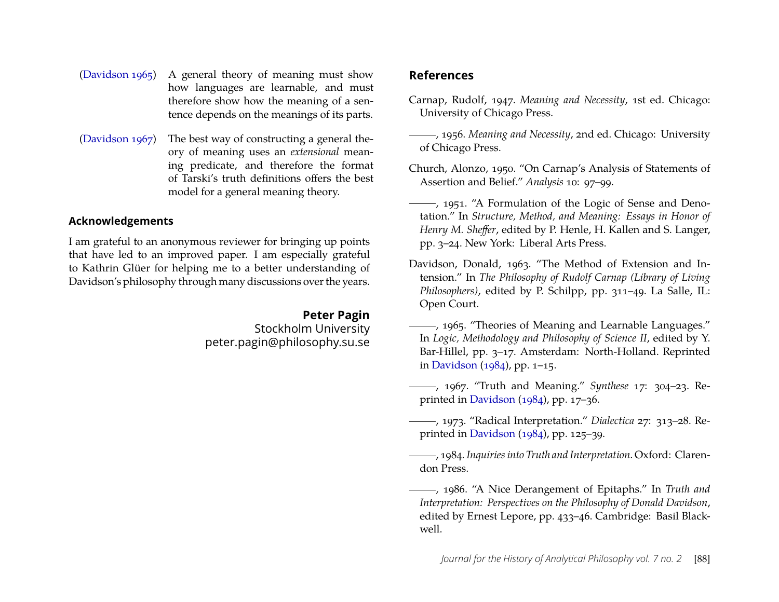- [\(Davidson 1965\)](#page-12-0) A general theory of meaning must show how languages are learnable, and must therefore show how the meaning of a sentence depends on the meanings of its parts.
- [\(Davidson 1967\)](#page-12-1) The best way of constructing a general theory of meaning uses an *extensional* meaning predicate, and therefore the format of Tarski's truth definitions offers the best model for a general meaning theory.

#### **Acknowledgements**

I am grateful to an anonymous reviewer for bringing up points that have led to an improved paper. I am especially grateful to Kathrin Glüer for helping me to a better understanding of Davidson's philosophy through many discussions over the years.

> **Peter Pagin** Stockholm University peter.pagin@philosophy.su.se

#### **References**

- <span id="page-12-6"></span>Carnap, Rudolf, 1947. *Meaning and Necessity*, 1st ed. Chicago: University of Chicago Press.
- <span id="page-12-7"></span>, 1956. *Meaning and Necessity*, 2nd ed. Chicago: University of Chicago Press.
- <span id="page-12-4"></span>Church, Alonzo, 1950. "On Carnap's Analysis of Statements of Assertion and Belief." *Analysis* 10: 97–99.
- <span id="page-12-9"></span>, 1951. "A Formulation of the Logic of Sense and Denotation." In *Structure, Method, and Meaning: Essays in Honor of Henry M. Sheffer*, edited by P. Henle, H. Kallen and S. Langer, pp. 3–24. New York: Liberal Arts Press.
- <span id="page-12-2"></span>Davidson, Donald, 1963. "The Method of Extension and Intension." In *The Philosophy of Rudolf Carnap (Library of Living Philosophers)*, edited by P. Schilpp, pp. 311–49. La Salle, IL: Open Court.
- <span id="page-12-0"></span>(1965) ------, 1965. "Theories of Meaning and Learnable Languages." In *Logic, Methodology and Philosophy of Science II*, edited by Y. Bar-Hillel, pp. 3–17. Amsterdam: North-Holland. Reprinted in [Davidson](#page-12-8) [\(1984\)](#page-12-8), pp. 1–15.
- <span id="page-12-1"></span>, 1967. "Truth and Meaning." *Synthese* 17: 304–23. Reprinted in [Davidson](#page-12-8) [\(1984\)](#page-12-8), pp. 17–36.
- <span id="page-12-3"></span>, 1973. "Radical Interpretation." *Dialectica* 27: 313–28. Reprinted in [Davidson](#page-12-8) [\(1984\)](#page-12-8), pp. 125–39.

<span id="page-12-8"></span>, 1984. *Inquiries into Truth and Interpretation*. Oxford: Clarendon Press.

<span id="page-12-5"></span>, 1986. "A Nice Derangement of Epitaphs." In *Truth and Interpretation: Perspectives on the Philosophy of Donald Davidson*, edited by Ernest Lepore, pp. 433–46. Cambridge: Basil Blackwell.